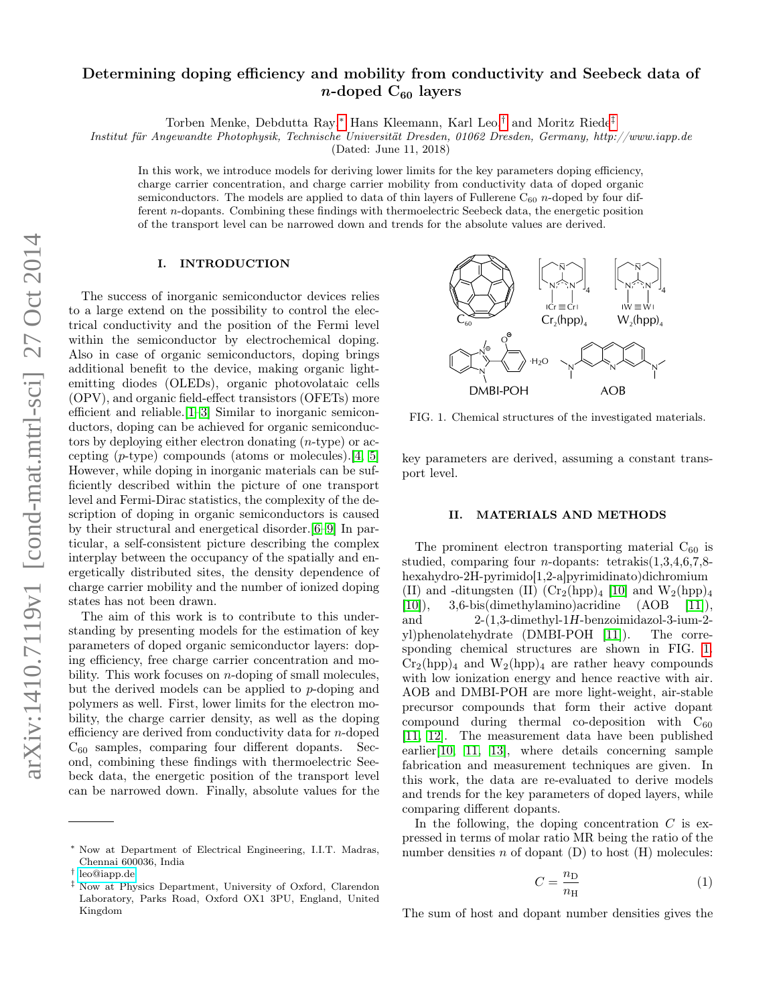# arXiv:1410.7119v1 [cond-mat.mtrl-sci] 27 Oct 2014 arXiv:1410.7119v1 [cond-mat.mtrl-sci] 27 Oct 2014

# Determining doping efficiency and mobility from conductivity and Seebeck data of  $n$ -doped C<sub>60</sub> layers

Torben Menke, Debdutta Ray,[∗](#page-0-0) Hans Kleemann, Karl Leo,[†](#page-0-1) and Moritz Riede[‡](#page-0-2)

Institut für Angewandte Photophysik, Technische Universität Dresden, 01062 Dresden, Germany, http://www.iapp.de

(Dated: June 11, 2018)

In this work, we introduce models for deriving lower limits for the key parameters doping efficiency, charge carrier concentration, and charge carrier mobility from conductivity data of doped organic semiconductors. The models are applied to data of thin layers of Fullerene  $C_{60}$  n-doped by four different n-dopants. Combining these findings with thermoelectric Seebeck data, the energetic position of the transport level can be narrowed down and trends for the absolute values are derived.

### I. INTRODUCTION

The success of inorganic semiconductor devices relies to a large extend on the possibility to control the electrical conductivity and the position of the Fermi level within the semiconductor by electrochemical doping. Also in case of organic semiconductors, doping brings additional benefit to the device, making organic lightemitting diodes (OLEDs), organic photovolataic cells (OPV), and organic field-effect transistors (OFETs) more efficient and reliable.[\[1](#page-6-0)[–3\]](#page-6-1) Similar to inorganic semiconductors, doping can be achieved for organic semiconductors by deploying either electron donating (n-type) or accepting  $(p\text{-type})$  compounds (atoms or molecules).[\[4,](#page-6-2) [5\]](#page-6-3) However, while doping in inorganic materials can be sufficiently described within the picture of one transport level and Fermi-Dirac statistics, the complexity of the description of doping in organic semiconductors is caused by their structural and energetical disorder.[\[6–](#page-6-4)[9\]](#page-6-5) In particular, a self-consistent picture describing the complex interplay between the occupancy of the spatially and energetically distributed sites, the density dependence of charge carrier mobility and the number of ionized doping states has not been drawn.

The aim of this work is to contribute to this understanding by presenting models for the estimation of key parameters of doped organic semiconductor layers: doping efficiency, free charge carrier concentration and mobility. This work focuses on  $n$ -doping of small molecules, but the derived models can be applied to p-doping and polymers as well. First, lower limits for the electron mobility, the charge carrier density, as well as the doping efficiency are derived from conductivity data for n-doped  $C_{60}$  samples, comparing four different dopants. Second, combining these findings with thermoelectric Seebeck data, the energetic position of the transport level can be narrowed down. Finally, absolute values for the



<span id="page-0-3"></span>FIG. 1. Chemical structures of the investigated materials.

key parameters are derived, assuming a constant transport level.

### II. MATERIALS AND METHODS

The prominent electron transporting material  $C_{60}$  is studied, comparing four *n*-dopants: tetrakis $(1,3,4,6,7,8$ hexahydro-2H-pyrimido[1,2-a]pyrimidinato)dichromium (II) and -ditungsten (II)  $(\text{Cr}_2(\text{hpp})_4$  [\[10\]](#page-6-6) and  $\text{W}_2(\text{hpp})_4$  $[10]$ , 3,6-bis(dimethylamino)acridine  $(AOB \t[11]),$  $(AOB \t[11]),$  $(AOB \t[11]),$ and 2-(1,3-dimethyl-1H-benzoimidazol-3-ium-2 yl)phenolatehydrate (DMBI-POH [\[11\]](#page-6-7)). The corresponding chemical structures are shown in FIG. [1.](#page-0-3)  $Cr_2(hpp)_4$  and  $W_2(hpp)_4$  are rather heavy compounds with low ionization energy and hence reactive with air. AOB and DMBI-POH are more light-weight, air-stable precursor compounds that form their active dopant compound during thermal co-deposition with  $C_{60}$ [\[11,](#page-6-7) [12\]](#page-6-8). The measurement data have been published earlier[\[10,](#page-6-6) [11,](#page-6-7) [13\]](#page-6-9), where details concerning sample fabrication and measurement techniques are given. In this work, the data are re-evaluated to derive models and trends for the key parameters of doped layers, while comparing different dopants.

In the following, the doping concentration  $C$  is expressed in terms of molar ratio MR being the ratio of the number densities  $n$  of dopant  $(D)$  to host  $(H)$  molecules:

<span id="page-0-4"></span>
$$
C = \frac{n_{\rm D}}{n_{\rm H}}\tag{1}
$$

The sum of host and dopant number densities gives the

<span id="page-0-0"></span><sup>∗</sup> Now at Department of Electrical Engineering, I.I.T. Madras, Chennai 600036, India

<span id="page-0-1"></span><sup>†</sup> [leo@iapp.de](mailto:leo@iapp.de)

<span id="page-0-2"></span><sup>‡</sup> Now at Physics Department, University of Oxford, Clarendon Laboratory, Parks Road, Oxford OX1 3PU, England, United Kingdom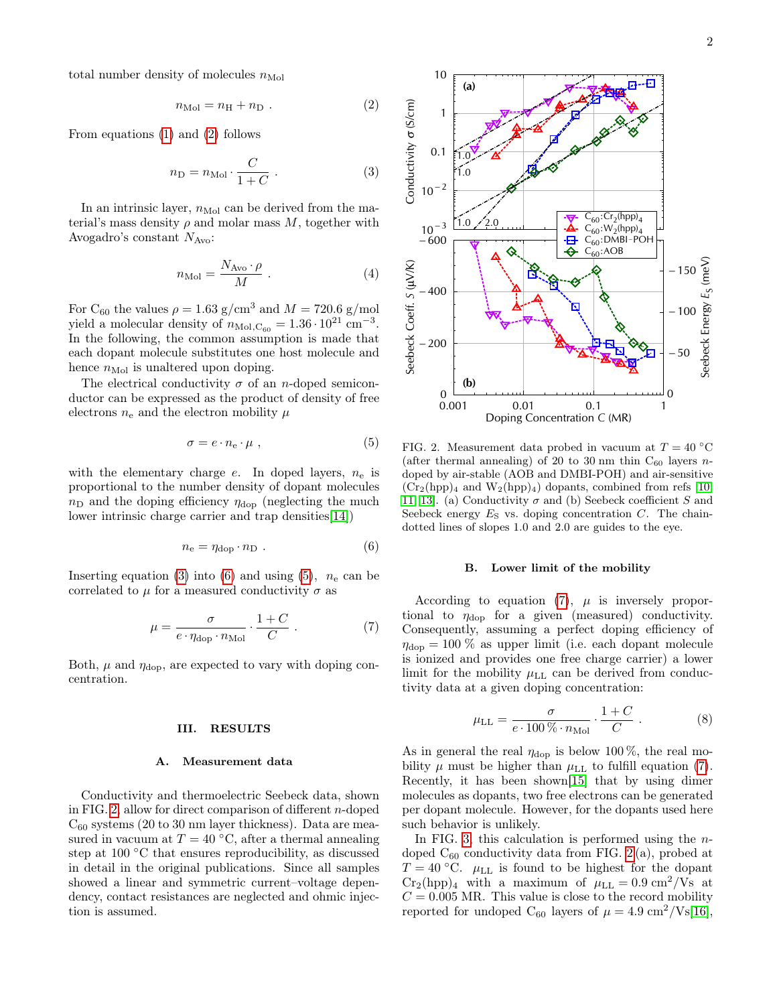total number density of molecules  $n_{\text{Mol}}$ 

<span id="page-1-0"></span>
$$
n_{\text{Mol}} = n_{\text{H}} + n_{\text{D}} \tag{2}
$$

From equations [\(1\)](#page-0-4) and [\(2\)](#page-1-0) follows

<span id="page-1-1"></span>
$$
n_{\rm D} = n_{\rm Mol} \cdot \frac{C}{1+C} \ . \tag{3}
$$

In an intrinsic layer,  $n_{\text{Mol}}$  can be derived from the material's mass density  $\rho$  and molar mass  $M$ , together with Avogadro's constant  $N_{\text{Avo}}$ :

$$
n_{\text{Mol}} = \frac{N_{\text{Avo}} \cdot \rho}{M} \tag{4}
$$

For C<sub>60</sub> the values  $\rho = 1.63$  g/cm<sup>3</sup> and  $M = 720.6$  g/mol yield a molecular density of  $n_{\text{Mol},\text{C}_{60}} = 1.36 \cdot 10^{21} \text{ cm}^{-3}$ . In the following, the common assumption is made that each dopant molecule substitutes one host molecule and hence  $n_{\text{Mol}}$  is unaltered upon doping.

The electrical conductivity  $\sigma$  of an *n*-doped semiconductor can be expressed as the product of density of free electrons  $n_e$  and the electron mobility  $\mu$ 

<span id="page-1-3"></span>
$$
\sigma = e \cdot n_e \cdot \mu \; , \tag{5}
$$

with the elementary charge  $e$ . In doped layers,  $n_e$  is proportional to the number density of dopant molecules  $n<sub>D</sub>$  and the doping efficiency  $\eta_{\text{dop}}$  (neglecting the much lower intrinsic charge carrier and trap densities[\[14\]](#page-6-10))

<span id="page-1-2"></span>
$$
n_{\rm e} = \eta_{\rm dop} \cdot n_{\rm D} \ . \tag{6}
$$

Inserting equation [\(3\)](#page-1-1) into [\(6\)](#page-1-2) and using [\(5\)](#page-1-3),  $n_e$  can be correlated to  $\mu$  for a measured conductivity  $\sigma$  as

<span id="page-1-5"></span>
$$
\mu = \frac{\sigma}{e \cdot \eta_{\text{dop}} \cdot n_{\text{Mol}}} \cdot \frac{1+C}{C} \ . \tag{7}
$$

Both,  $\mu$  and  $\eta_{\text{dop}}$ , are expected to vary with doping concentration.

### III. RESULTS

### A. Measurement data

Conductivity and thermoelectric Seebeck data, shown in FIG. [2,](#page-1-4) allow for direct comparison of different n-doped  $C_{60}$  systems (20 to 30 nm layer thickness). Data are measured in vacuum at  $T = 40 °C$ , after a thermal annealing step at 100 °C that ensures reproducibility, as discussed in detail in the original publications. Since all samples showed a linear and symmetric current–voltage dependency, contact resistances are neglected and ohmic injection is assumed.



<span id="page-1-4"></span>FIG. 2. Measurement data probed in vacuum at  $T = 40 °C$ (after thermal annealing) of 20 to 30 nm thin  $C_{60}$  layers ndoped by air-stable (AOB and DMBI-POH) and air-sensitive  $(Cr_2(hpp)_4$  and  $W_2(hpp)_4$  dopants, combined from refs [\[10,](#page-6-6) [11,](#page-6-7) [13\]](#page-6-9). (a) Conductivity  $\sigma$  and (b) Seebeck coefficient S and Seebeck energy  $E<sub>S</sub>$  vs. doping concentration  $C$ . The chaindotted lines of slopes 1.0 and 2.0 are guides to the eye.

### <span id="page-1-7"></span>B. Lower limit of the mobility

According to equation [\(7\)](#page-1-5),  $\mu$  is inversely proportional to  $\eta_{\text{dop}}$  for a given (measured) conductivity. Consequently, assuming a perfect doping efficiency of  $\eta_{\text{dop}} = 100\%$  as upper limit (i.e. each dopant molecule is ionized and provides one free charge carrier) a lower limit for the mobility  $\mu_{LL}$  can be derived from conductivity data at a given doping concentration:

<span id="page-1-6"></span>
$$
\mu_{\rm LL} = \frac{\sigma}{e \cdot 100 \, \% \cdot n_{\rm Mol}} \cdot \frac{1+C}{C} \ . \tag{8}
$$

As in general the real  $\eta_{\text{dop}}$  is below 100%, the real mobility  $\mu$  must be higher than  $\mu_{LL}$  to fulfill equation [\(7\)](#page-1-5). Recently, it has been shown[\[15\]](#page-6-11) that by using dimer molecules as dopants, two free electrons can be generated per dopant molecule. However, for the dopants used here such behavior is unlikely.

In FIG. [3,](#page-2-0) this calculation is performed using the  $n$ doped  $C_{60}$  conductivity data from FIG. [2](#page-1-4)(a), probed at  $T = 40$  °C.  $\mu$ <sub>LL</sub> is found to be highest for the dopant  $Cr_2(hpp)_4$  with a maximum of  $\mu_{LL} = 0.9 \text{ cm}^2/\text{Vs}$  at  $C = 0.005$  MR. This value is close to the record mobility reported for undoped C<sub>60</sub> layers of  $\mu = 4.9 \text{ cm}^2/\text{Vs} [16]$  $\mu = 4.9 \text{ cm}^2/\text{Vs} [16]$ ,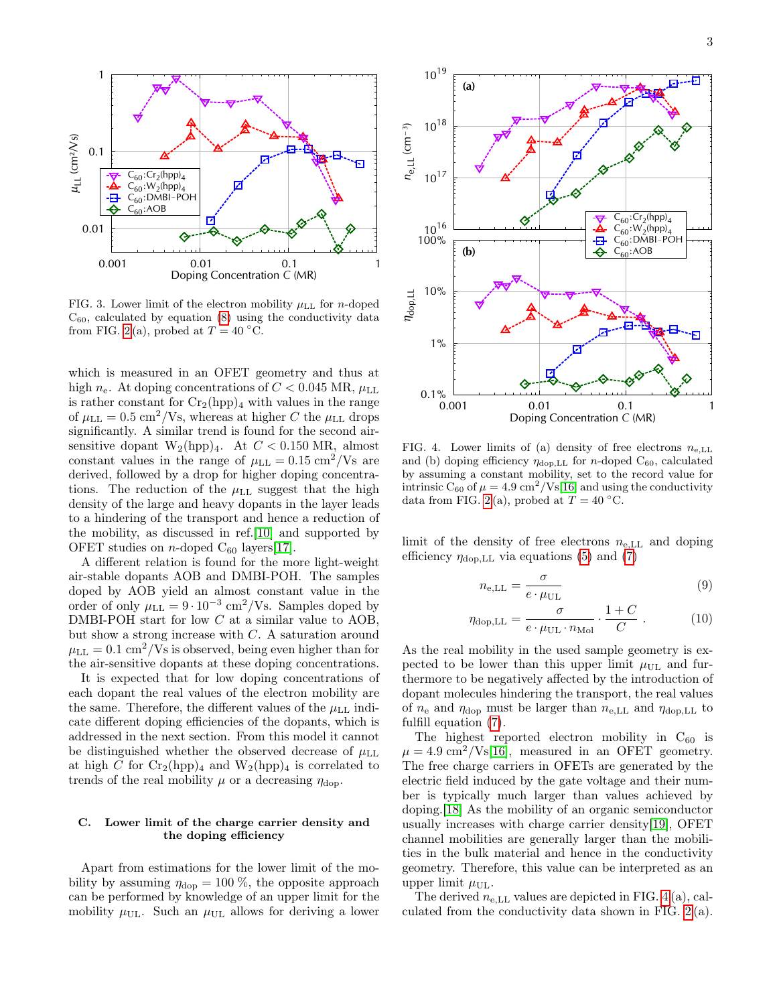

<span id="page-2-0"></span>FIG. 3. Lower limit of the electron mobility  $\mu_{LL}$  for *n*-doped  $C_{60}$ , calculated by equation  $(8)$  using the conductivity data from FIG. [2](#page-1-4)(a), probed at  $T = 40 °C$ .

which is measured in an OFET geometry and thus at high  $n_e$ . At doping concentrations of  $C < 0.045$  MR,  $\mu_{\text{LL}}$ is rather constant for  $Cr_2(hpp)_4$  with values in the range of  $\mu_{\text{LL}} = 0.5 \text{ cm}^2/\text{Vs}$ , whereas at higher C the  $\mu_{\text{LL}}$  drops significantly. A similar trend is found for the second airsensitive dopant  $W_2(hpp)_4$ . At  $C < 0.150$  MR, almost constant values in the range of  $\mu_{LL} = 0.15 \text{ cm}^2/\text{Vs}$  are derived, followed by a drop for higher doping concentrations. The reduction of the  $\mu_{LL}$  suggest that the high density of the large and heavy dopants in the layer leads to a hindering of the transport and hence a reduction of the mobility, as discussed in ref.[\[10\]](#page-6-6) and supported by OFET studies on *n*-doped  $C_{60}$  layers[\[17\]](#page-6-13).

A different relation is found for the more light-weight air-stable dopants AOB and DMBI-POH. The samples doped by AOB yield an almost constant value in the order of only  $\mu_{\text{LL}} = 9 \cdot 10^{-3} \text{ cm}^2/\text{Vs}$ . Samples doped by DMBI-POH start for low C at a similar value to AOB, but show a strong increase with C. A saturation around  $\mu_{LL} = 0.1 \text{ cm}^2/\text{Vs}$  is observed, being even higher than for the air-sensitive dopants at these doping concentrations.

It is expected that for low doping concentrations of each dopant the real values of the electron mobility are the same. Therefore, the different values of the  $\mu_{\text{LL}}$  indicate different doping efficiencies of the dopants, which is addressed in the next section. From this model it cannot be distinguished whether the observed decrease of  $\mu_{\text{LL}}$ at high C for  $\text{Cr}_2(\text{hpp})_4$  and  $\text{W}_2(\text{hpp})_4$  is correlated to trends of the real mobility  $\mu$  or a decreasing  $\eta_{\text{dop}}$ .

## <span id="page-2-3"></span>C. Lower limit of the charge carrier density and the doping efficiency

Apart from estimations for the lower limit of the mobility by assuming  $\eta_{\text{dop}} = 100\%$ , the opposite approach can be performed by knowledge of an upper limit for the mobility  $\mu_{\text{UL}}$ . Such an  $\mu_{\text{UL}}$  allows for deriving a lower



<span id="page-2-1"></span>FIG. 4. Lower limits of (a) density of free electrons  $n_{e,LL}$ and (b) doping efficiency  $\eta_{\text{dop},LL}$  for *n*-doped C<sub>60</sub>, calculated by assuming a constant mobility, set to the record value for intrinsic  $C_{60}$  of  $\mu = 4.9 \text{ cm}^2/\text{Vs}$ [\[16\]](#page-6-12) and using the conductivity data from FIG. [2](#page-1-4)(a), probed at  $T = 40 °C$ .

limit of the density of free electrons  $n_{e,LL}$  and doping efficiency  $\eta_{\text{dop},LL}$  via equations [\(5\)](#page-1-3) and [\(7\)](#page-1-5)

<span id="page-2-2"></span>
$$
n_{\text{e},\text{LL}} = \frac{\sigma}{e \cdot \mu_{\text{UL}}} \tag{9}
$$

$$
\eta_{\text{dop},LL} = \frac{\sigma}{e \cdot \mu_{\text{UL}} \cdot n_{\text{Mol}}} \cdot \frac{1+C}{C} . \tag{10}
$$

As the real mobility in the used sample geometry is expected to be lower than this upper limit  $\mu_{\text{UL}}$  and furthermore to be negatively affected by the introduction of dopant molecules hindering the transport, the real values of  $n_e$  and  $\eta_{\text{dop}}$  must be larger than  $n_{e,\text{LL}}$  and  $\eta_{\text{dop},\text{LL}}$  to fulfill equation [\(7\)](#page-1-5).

The highest reported electron mobility in  $C_{60}$  is  $\mu = 4.9 \text{ cm}^2/\text{Vs}$ [\[16\]](#page-6-12), measured in an OFET geometry. The free charge carriers in OFETs are generated by the electric field induced by the gate voltage and their number is typically much larger than values achieved by doping.[\[18\]](#page-6-14) As the mobility of an organic semiconductor usually increases with charge carrier density[\[19\]](#page-7-0), OFET channel mobilities are generally larger than the mobilities in the bulk material and hence in the conductivity geometry. Therefore, this value can be interpreted as an upper limit  $\mu_{\text{UL}}$ .

The derived  $n_{e,LL}$  values are depicted in FIG. [4](#page-2-1) (a), calculated from the conductivity data shown in FIG. [2](#page-1-4) (a).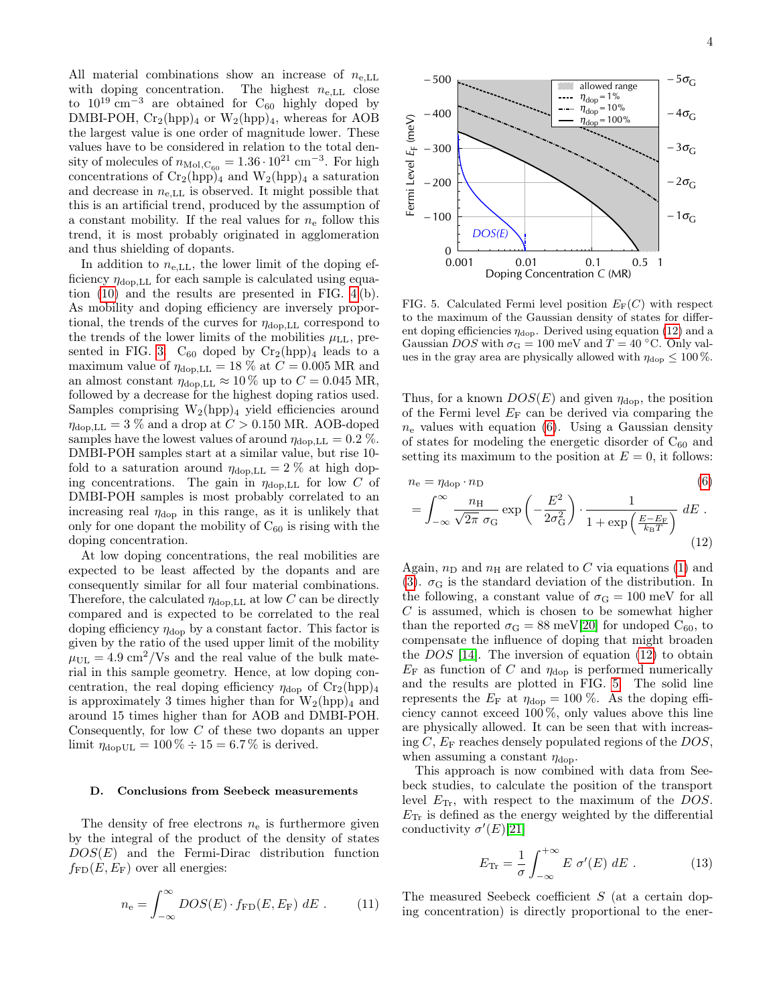All material combinations show an increase of  $n_{e,LL}$ with doping concentration. The highest  $n_{e,LL}$  close to  $10^{19}$  cm<sup>-3</sup> are obtained for C<sub>60</sub> highly doped by DMBI-POH,  $Cr_2(hpp)_4$  or  $W_2(hpp)_4$ , whereas for AOB the largest value is one order of magnitude lower. These values have to be considered in relation to the total density of molecules of  $n_{\text{Mol},\text{C}_{60}} = 1.36 \cdot 10^{21} \text{ cm}^{-3}$ . For high concentrations of  $Cr_2(hpp)_4$  and  $W_2(hpp)_4$  a saturation and decrease in  $n_{e,LL}$  is observed. It might possible that this is an artificial trend, produced by the assumption of a constant mobility. If the real values for  $n_e$  follow this trend, it is most probably originated in agglomeration and thus shielding of dopants.

In addition to  $n_{e,LL}$ , the lower limit of the doping efficiency  $\eta_{\text{dop},LL}$  for each sample is calculated using equation [\(10\)](#page-2-2) and the results are presented in FIG. [4](#page-2-1) (b). As mobility and doping efficiency are inversely proportional, the trends of the curves for  $\eta_{\text{dop},LL}$  correspond to the trends of the lower limits of the mobilities  $\mu_{LL}$ , pre-sented in FIG. [3.](#page-2-0)  $C_{60}$  doped by  $Cr_2(hpp)_4$  leads to a maximum value of  $\eta_{\text{dop},LL} = 18 \%$  at  $C = 0.005$  MR and an almost constant  $\eta_{\text{dop},LL} \approx 10\%$  up to  $C = 0.045$  MR, followed by a decrease for the highest doping ratios used. Samples comprising  $W_2(hpp)_4$  yield efficiencies around  $\eta_{\text{dop},LL} = 3$  % and a drop at  $C > 0.150$  MR. AOB-doped samples have the lowest values of around  $\eta_{\text{dop},LL} = 0.2$  %. DMBI-POH samples start at a similar value, but rise 10 fold to a saturation around  $\eta_{\text{dop},LL} = 2\%$  at high doping concentrations. The gain in  $\eta_{\text{dop},LL}$  for low C of DMBI-POH samples is most probably correlated to an increasing real  $\eta_{\text{dop}}$  in this range, as it is unlikely that only for one dopant the mobility of  $C_{60}$  is rising with the doping concentration.

At low doping concentrations, the real mobilities are expected to be least affected by the dopants and are consequently similar for all four material combinations. Therefore, the calculated  $\eta_{\text{dop},LL}$  at low C can be directly compared and is expected to be correlated to the real doping efficiency  $\eta_{\text{dop}}$  by a constant factor. This factor is given by the ratio of the used upper limit of the mobility  $\mu_{\text{UL}} = 4.9 \text{ cm}^2/\text{Vs}$  and the real value of the bulk material in this sample geometry. Hence, at low doping concentration, the real doping efficiency  $\eta_{\text{dop}}$  of  $Cr_2(hpp)_4$ is approximately 3 times higher than for  $W_2(hpp)_4$  and around 15 times higher than for AOB and DMBI-POH. Consequently, for low C of these two dopants an upper limit  $\eta_{\text{dopUL}} = 100\% \div 15 = 6.7\%$  is derived.

### D. Conclusions from Seebeck measurements

The density of free electrons  $n_e$  is furthermore given by the integral of the product of the density of states  $DOS(E)$  and the Fermi-Dirac distribution function  $f_{FD}(E, E_F)$  over all energies:

$$
n_{\rm e} = \int_{-\infty}^{\infty} DOS(E) \cdot f_{\rm FD}(E, E_{\rm F}) dE \ . \tag{11}
$$



<span id="page-3-1"></span>FIG. 5. Calculated Fermi level position  $E_F(C)$  with respect to the maximum of the Gaussian density of states for different doping efficiencies  $\eta_{\rm dop}$ . Derived using equation [\(12\)](#page-3-0) and a Gaussian DOS with  $\sigma$ <sub>G</sub> = 100 meV and T = 40 °C. Only values in the gray area are physically allowed with  $\eta_{\text{dop}} \leq 100\%$ .

Thus, for a known  $DOS(E)$  and given  $\eta_{\text{dop}}$ , the position of the Fermi level  $E_F$  can be derived via comparing the  $n_e$  values with equation [\(6\)](#page-1-2). Using a Gaussian density of states for modeling the energetic disorder of  $C_{60}$  and setting its maximum to the position at  $E = 0$ , it follows:

<span id="page-3-0"></span>
$$
n_{\rm e} = \eta_{\rm dop} \cdot n_{\rm D} \tag{6}
$$

$$
= \int_{-\infty}^{\infty} \frac{n_{\rm H}}{\sqrt{2\pi} \sigma_{\rm G}} \exp\left(-\frac{E^2}{2\sigma_{\rm G}^2}\right) \cdot \frac{1}{1 + \exp\left(\frac{E - E_{\rm F}}{k_{\rm B}T}\right)} dE \tag{12}
$$

Again,  $n_D$  and  $n_H$  are related to C via equations [\(1\)](#page-0-4) and [\(3\)](#page-1-1).  $\sigma$ <sub>G</sub> is the standard deviation of the distribution. In the following, a constant value of  $\sigma_{\rm G} = 100$  meV for all  $C$  is assumed, which is chosen to be somewhat higher than the reported  $\sigma_{\rm G} = 88$  meV[\[20\]](#page-7-1) for undoped C<sub>60</sub>, to compensate the influence of doping that might broaden the DOS [\[14\]](#page-6-10). The inversion of equation [\(12\)](#page-3-0) to obtain  $E_F$  as function of C and  $\eta_{\text{dop}}$  is performed numerically and the results are plotted in FIG. [5.](#page-3-1) The solid line represents the  $E_F$  at  $\eta_{\text{dop}} = 100\%$ . As the doping efficiency cannot exceed 100 %, only values above this line are physically allowed. It can be seen that with increasing C,  $E_F$  reaches densely populated regions of the DOS, when assuming a constant  $\eta_{\text{dop}}$ .

This approach is now combined with data from Seebeck studies, to calculate the position of the transport level  $E_{\text{Tr}}$ , with respect to the maximum of the DOS.  $E_{\text{Tr}}$  is defined as the energy weighted by the differential conductivity  $\sigma'(E)[21]$  $\sigma'(E)[21]$ 

<span id="page-3-2"></span>
$$
E_{\text{Tr}} = \frac{1}{\sigma} \int_{-\infty}^{+\infty} E \, \sigma'(E) \, dE \,. \tag{13}
$$

The measured Seebeck coefficient S (at a certain doping concentration) is directly proportional to the ener-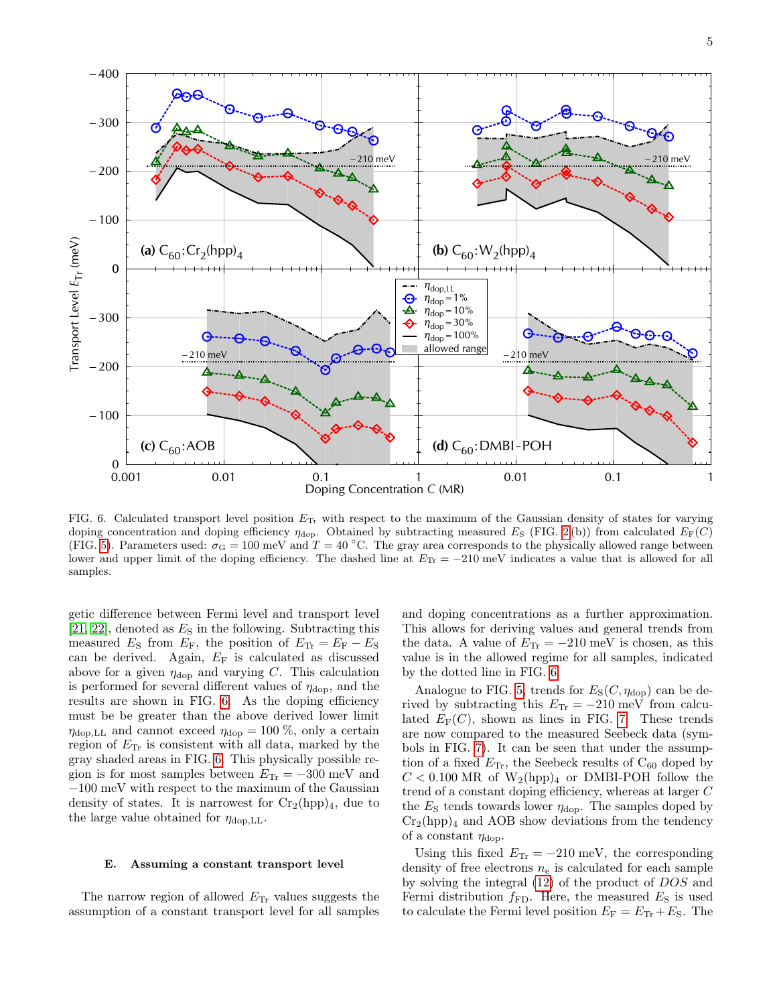

<span id="page-4-0"></span>FIG. 6. Calculated transport level position  $E_{Tr}$  with respect to the maximum of the Gaussian density of states for varying doping concentration and doping efficiency  $\eta_{\text{dop}}$ . Obtained by subtracting measured E<sub>S</sub> (FIG. [2](#page-1-4)(b)) from calculated  $E_F(C)$ (FIG. [5\)](#page-3-1). Parameters used:  $\sigma_{\rm G} = 100$  meV and  $T = 40$  °C. The gray area corresponds to the physically allowed range between lower and upper limit of the doping efficiency. The dashed line at  $E_{\text{Tr}} = -210$  meV indicates a value that is allowed for all samples.

getic difference between Fermi level and transport level  $[21, 22]$  $[21, 22]$ , denoted as  $E<sub>S</sub>$  in the following. Subtracting this measured  $E<sub>S</sub>$  from  $E<sub>F</sub>$ , the position of  $E<sub>Tr</sub> = E<sub>F</sub> - E<sub>S</sub>$ can be derived. Again,  $E_F$  is calculated as discussed above for a given  $\eta_{\text{dop}}$  and varying C. This calculation is performed for several different values of  $\eta_{\rm dop}$ , and the results are shown in FIG. [6.](#page-4-0) As the doping efficiency must be be greater than the above derived lower limit  $\eta_{\text{dop},LL}$  and cannot exceed  $\eta_{\text{dop}} = 100\%$ , only a certain region of  $E_{\text{Tr}}$  is consistent with all data, marked by the gray shaded areas in FIG. [6.](#page-4-0) This physically possible region is for most samples between  $E_{\text{Tr}} = -300 \text{ meV}$  and −100 meV with respect to the maximum of the Gaussian density of states. It is narrowest for  $Cr_2(hpp)_4$ , due to the large value obtained for  $\eta_{\text{don}}$ .

### E. Assuming a constant transport level

The narrow region of allowed  $E_{\text{Tr}}$  values suggests the assumption of a constant transport level for all samples and doping concentrations as a further approximation. This allows for deriving values and general trends from the data. A value of  $E_{\text{Tr}} = -210 \text{ meV}$  is chosen, as this value is in the allowed regime for all samples, indicated by the dotted line in FIG. [6.](#page-4-0)

Analogue to FIG. [5,](#page-3-1) trends for  $E_S(C, \eta_{\text{dop}})$  can be derived by subtracting this  $E_{\text{Tr}} = -210 \text{ meV}$  from calculated  $E_F(C)$ , shown as lines in FIG. [7.](#page-5-0) These trends are now compared to the measured Seebeck data (symbols in FIG. [7\)](#page-5-0). It can be seen that under the assumption of a fixed  $E_{\text{Tr}}$ , the Seebeck results of  $C_{60}$  doped by  $C < 0.100$  MR of  $W_2(hpp)_4$  or DMBI-POH follow the trend of a constant doping efficiency, whereas at larger C the  $E<sub>S</sub>$  tends towards lower  $\eta_{\text{dop}}$ . The samples doped by  $Cr_2(hpp)_4$  and AOB show deviations from the tendency of a constant  $\eta_{\text{dop}}$ .

Using this fixed  $E_{\text{Tr}} = -210 \text{ meV}$ , the corresponding density of free electrons  $n_e$  is calculated for each sample by solving the integral [\(12\)](#page-3-0) of the product of DOS and Fermi distribution  $f_{FD}$ . Here, the measured  $E_S$  is used to calculate the Fermi level position  $E_F = E_{Tr} + E_S$ . The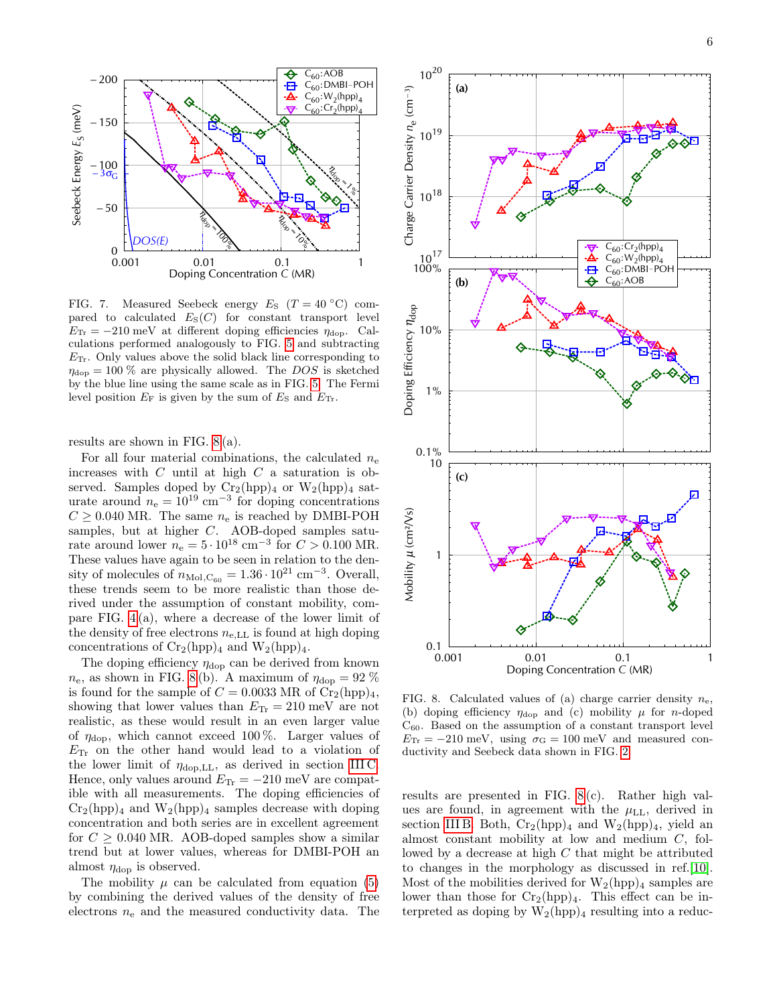

<span id="page-5-0"></span>FIG. 7. Measured Seebeck energy  $E_S$  (T = 40 °C) compared to calculated  $E_S(C)$  for constant transport level  $E_{\text{Tr}} = -210 \text{ meV}$  at different doping efficiencies  $\eta_{\text{dop}}$ . Calculations performed analogously to FIG. [5](#page-3-1) and subtracting  $E_{\text{Tr}}$ . Only values above the solid black line corresponding to  $\eta_{\text{dop}} = 100\%$  are physically allowed. The DOS is sketched by the blue line using the same scale as in FIG. [5.](#page-3-1) The Fermi level position  $E_F$  is given by the sum of  $E_S$  and  $E_{Tr}$ .

results are shown in FIG. [8](#page-5-1) (a).

For all four material combinations, the calculated  $n_e$ increases with  $C$  until at high  $C$  a saturation is observed. Samples doped by  $Cr_2(hpp)_4$  or  $W_2(hpp)_4$  saturate around  $n_e = 10^{19}$  cm<sup>-3</sup> for doping concentrations  $C \geq 0.040$  MR. The same  $n_e$  is reached by DMBI-POH samples, but at higher C. AOB-doped samples saturate around lower  $n_e = 5 \cdot 10^{18}$  cm<sup>-3</sup> for  $C > 0.100$  MR. These values have again to be seen in relation to the density of molecules of  $n_{\text{Mol},\text{C}_{60}} = 1.36 \cdot 10^{21} \text{ cm}^{-3}$ . Overall, these trends seem to be more realistic than those derived under the assumption of constant mobility, compare FIG. [4](#page-2-1) (a), where a decrease of the lower limit of the density of free electrons  $n_{e,LL}$  is found at high doping concentrations of  $Cr_2(hpp)_4$  and  $W_2(hpp)_4$ .

The doping efficiency  $\eta_{\text{dop}}$  can be derived from known  $n_e$ , as shown in FIG. [8](#page-5-1)(b). A maximum of  $\eta_{\text{dop}} = 92\%$ is found for the sample of  $C = 0.0033$  MR of  $Cr_2(hpp)_4$ , showing that lower values than  $E_{\text{Tr}} = 210 \text{ meV}$  are not realistic, as these would result in an even larger value of  $\eta_{\rm don}$ , which cannot exceed 100 %. Larger values of  $E_{\text{Tr}}$  on the other hand would lead to a violation of the lower limit of  $\eta_{\text{dop},LL}$ , as derived in section [III C.](#page-2-3) Hence, only values around  $E_{\text{Tr}} = -210$  meV are compatible with all measurements. The doping efficiencies of  $Cr_2(hpp)_4$  and  $W_2(hpp)_4$  samples decrease with doping concentration and both series are in excellent agreement for  $C \geq 0.040$  MR. AOB-doped samples show a similar trend but at lower values, whereas for DMBI-POH an almost  $\eta_{\text{dop}}$  is observed.

The mobility  $\mu$  can be calculated from equation [\(5\)](#page-1-3) by combining the derived values of the density of free electrons  $n_e$  and the measured conductivity data. The



<span id="page-5-1"></span>FIG. 8. Calculated values of (a) charge carrier density  $n_e$ , (b) doping efficiency  $\eta_{\text{dop}}$  and (c) mobility  $\mu$  for *n*-doped  $C_{60}$ . Based on the assumption of a constant transport level  $E_{\text{Tr}} = -210 \text{ meV}$ , using  $\sigma_{\text{G}} = 100 \text{ meV}$  and measured conductivity and Seebeck data shown in FIG. [2.](#page-1-4)

results are presented in FIG. [8](#page-5-1) (c). Rather high values are found, in agreement with the  $\mu_{LL}$ , derived in section [III B.](#page-1-7) Both,  $Cr_2(hpp)_4$  and  $W_2(hpp)_4$ , yield an almost constant mobility at low and medium C, followed by a decrease at high C that might be attributed to changes in the morphology as discussed in ref.[\[10\]](#page-6-6). Most of the mobilities derived for  $W_2(hpp)_4$  samples are lower than those for  $Cr_2(hpp)_4$ . This effect can be interpreted as doping by  $W_2(hpp)_4$  resulting into a reduc-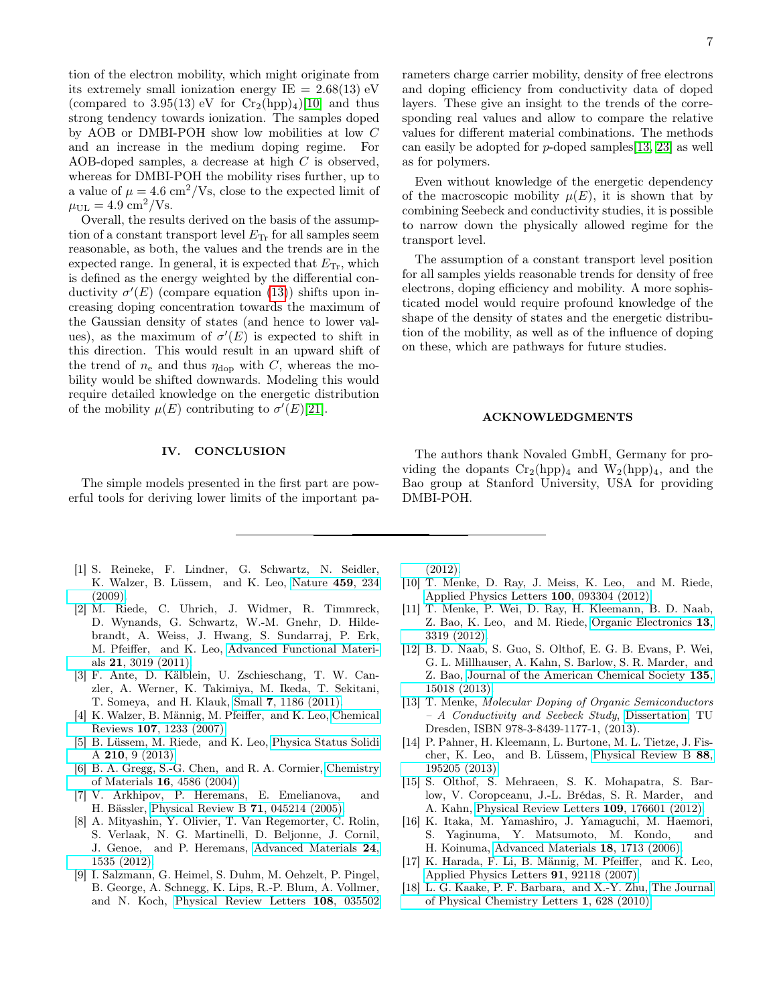tion of the electron mobility, which might originate from its extremely small ionization energy  $IE = 2.68(13)$  eV (compared to 3.95(13) eV for  $Cr_2(hpp)_4$ [\[10\]](#page-6-6) and thus strong tendency towards ionization. The samples doped by AOB or DMBI-POH show low mobilities at low C and an increase in the medium doping regime. For AOB-doped samples, a decrease at high C is observed, whereas for DMBI-POH the mobility rises further, up to a value of  $\mu = 4.6 \text{ cm}^2/\text{Vs}$ , close to the expected limit of  $\mu_{\rm UL}=4.9\;{\rm cm^2/Vs}.$ 

Overall, the results derived on the basis of the assumption of a constant transport level  $E_{\text{Tr}}$  for all samples seem reasonable, as both, the values and the trends are in the expected range. In general, it is expected that  $E_{\text{Tr}}$ , which is defined as the energy weighted by the differential conductivity  $\sigma'(E)$  (compare equation [\(13\)](#page-3-2)) shifts upon increasing doping concentration towards the maximum of the Gaussian density of states (and hence to lower values), as the maximum of  $\sigma'(E)$  is expected to shift in this direction. This would result in an upward shift of the trend of  $n_e$  and thus  $\eta_{\text{dop}}$  with C, whereas the mobility would be shifted downwards. Modeling this would require detailed knowledge on the energetic distribution of the mobility  $\mu(E)$  contributing to  $\sigma'(E)[21]$  $\sigma'(E)[21]$ .

### IV. CONCLUSION

The simple models presented in the first part are powerful tools for deriving lower limits of the important pa-

- <span id="page-6-0"></span>[1] S. Reineke, F. Lindner, G. Schwartz, N. Seidler, K. Walzer, B. Lüssem, and K. Leo, [Nature](http://dx.doi.org/10.1038/nature08003) 459, 234 [\(2009\).](http://dx.doi.org/10.1038/nature08003)
- [2] M. Riede, C. Uhrich, J. Widmer, R. Timmreck, D. Wynands, G. Schwartz, W.-M. Gnehr, D. Hildebrandt, A. Weiss, J. Hwang, S. Sundarraj, P. Erk, M. Pfeiffer, and K. Leo, [Advanced Functional Materi](http://dx.doi.org/10.1002/adfm.201002760)als 21[, 3019 \(2011\).](http://dx.doi.org/10.1002/adfm.201002760)
- <span id="page-6-1"></span>[3] F. Ante, D. Kälblein, U. Zschieschang, T. W. Canzler, A. Werner, K. Takimiya, M. Ikeda, T. Sekitani, T. Someya, and H. Klauk, Small 7[, 1186 \(2011\).](http://dx.doi.org/ 10.1002/smll.201002254)
- <span id="page-6-2"></span>[4] K. Walzer, B. Männig, M. Pfeiffer, and K. Leo, [Chemical](http://dx.doi.org/10.1021/cr050156n) Reviews 107[, 1233 \(2007\).](http://dx.doi.org/10.1021/cr050156n)
- <span id="page-6-3"></span>[5] B. Lüssem, M. Riede, and K. Leo, [Physica Status Solidi](http://dx.doi.org/10.1002/pssa.201228310) A 210[, 9 \(2013\).](http://dx.doi.org/10.1002/pssa.201228310)
- <span id="page-6-4"></span>[6] B. A. Gregg, S.-G. Chen, and R. A. Cormier, [Chemistry](http://dx.doi.org/10.1021/cm049625c) of Materials 16[, 4586 \(2004\).](http://dx.doi.org/10.1021/cm049625c)
- [7] V. Arkhipov, P. Heremans, E. Emelianova, and H. Bässler, [Physical Review B](http://dx.doi.org/10.1103/PhysRevB.71.045214) 71, 045214 (2005).
- [8] A. Mityashin, Y. Olivier, T. Van Regemorter, C. Rolin, S. Verlaak, N. G. Martinelli, D. Beljonne, J. Cornil, J. Genoe, and P. Heremans, [Advanced Materials](http://dx.doi.org/10.1002/adma.201104269) 24, [1535 \(2012\).](http://dx.doi.org/10.1002/adma.201104269)
- <span id="page-6-5"></span>[9] I. Salzmann, G. Heimel, S. Duhm, M. Oehzelt, P. Pingel, B. George, A. Schnegg, K. Lips, R.-P. Blum, A. Vollmer, and N. Koch, [Physical Review Letters](http://dx.doi.org/10.1103/PhysRevLett.108.035502) 108, 035502

rameters charge carrier mobility, density of free electrons and doping efficiency from conductivity data of doped layers. These give an insight to the trends of the corresponding real values and allow to compare the relative values for different material combinations. The methods can easily be adopted for  $p$ -doped samples [\[13,](#page-6-9) [23\]](#page-7-4) as well as for polymers.

Even without knowledge of the energetic dependency of the macroscopic mobility  $\mu(E)$ , it is shown that by combining Seebeck and conductivity studies, it is possible to narrow down the physically allowed regime for the transport level.

The assumption of a constant transport level position for all samples yields reasonable trends for density of free electrons, doping efficiency and mobility. A more sophisticated model would require profound knowledge of the shape of the density of states and the energetic distribution of the mobility, as well as of the influence of doping on these, which are pathways for future studies.

### ACKNOWLEDGMENTS

The authors thank Novaled GmbH, Germany for providing the dopants  $Cr_2(hpp)_4$  and  $W_2(hpp)_4$ , and the Bao group at Stanford University, USA for providing DMBI-POH.

[\(2012\).](http://dx.doi.org/10.1103/PhysRevLett.108.035502)

- <span id="page-6-6"></span>[10] T. Menke, D. Ray, J. Meiss, K. Leo, and M. Riede, [Applied Physics Letters](http://dx.doi.org/ 10.1063/1.3689778) 100, 093304 (2012).
- <span id="page-6-7"></span>[11] T. Menke, P. Wei, D. Ray, H. Kleemann, B. D. Naab, Z. Bao, K. Leo, and M. Riede, [Organic Electronics](http://dx.doi.org/10.1016/j.orgel.2012.09.024) 13, [3319 \(2012\).](http://dx.doi.org/10.1016/j.orgel.2012.09.024)
- <span id="page-6-8"></span>[12] B. D. Naab, S. Guo, S. Olthof, E. G. B. Evans, P. Wei, G. L. Millhauser, A. Kahn, S. Barlow, S. R. Marder, and Z. Bao, [Journal of the American Chemical Society](http://dx.doi.org/10.1021/ja403906d) 135, [15018 \(2013\).](http://dx.doi.org/10.1021/ja403906d)
- <span id="page-6-9"></span>[13] T. Menke, Molecular Doping of Organic Semiconductors – A Conductivity and Seebeck Study, [Dissertation,](http://www.dr.hut-verlag.de/9783843911771.html) TU Dresden, ISBN 978-3-8439-1177-1, (2013).
- <span id="page-6-10"></span>[14] P. Pahner, H. Kleemann, L. Burtone, M. L. Tietze, J. Fischer, K. Leo, and B. Lüssem, [Physical Review B](http://dx.doi.org/ 10.1103/PhysRevB.88.195205) 88, [195205 \(2013\).](http://dx.doi.org/ 10.1103/PhysRevB.88.195205)
- <span id="page-6-11"></span>[15] S. Olthof, S. Mehraeen, S. K. Mohapatra, S. Barlow, V. Coropceanu, J.-L. Brédas, S. R. Marder, and A. Kahn, [Physical Review Letters](http://dx.doi.org/ 10.1103/PhysRevLett.109.176601) 109, 176601 (2012).
- <span id="page-6-12"></span>[16] K. Itaka, M. Yamashiro, J. Yamaguchi, M. Haemori, S. Yaginuma, Y. Matsumoto, M. Kondo, and H. Koinuma, [Advanced Materials](http://dx.doi.org/ 10.1002/adma.200502752) 18, 1713 (2006).
- <span id="page-6-13"></span>[17] K. Harada, F. Li, B. Männig, M. Pfeiffer, and K. Leo, [Applied Physics Letters](http://dx.doi.org/10.1063/1.2776355) 91, 92118 (2007).
- <span id="page-6-14"></span>[18] L. G. Kaake, P. F. Barbara, and X.-Y. Zhu, [The Journal](http://dx.doi.org/10.1021/jz9002857) [of Physical Chemistry Letters](http://dx.doi.org/10.1021/jz9002857) 1, 628 (2010).